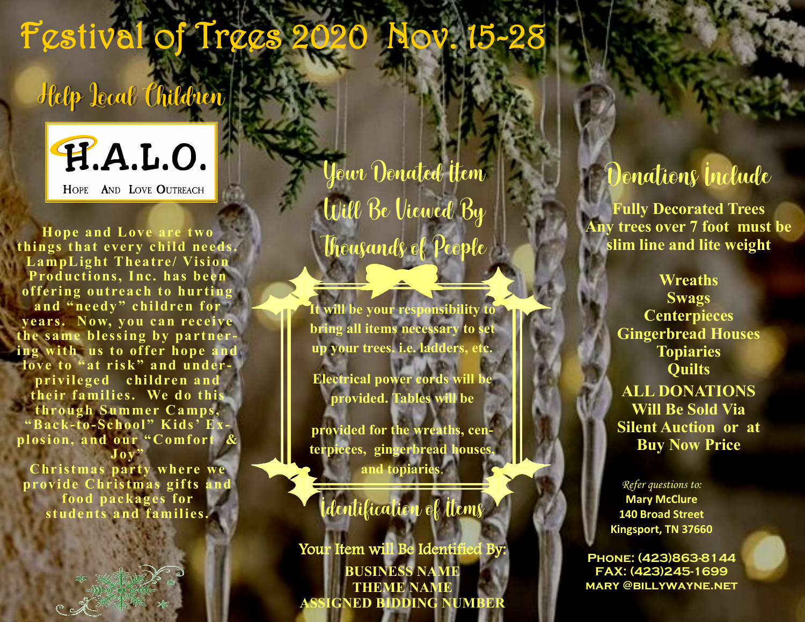# Festival of Trees?

### Help Local Children



**Hope and Love are two things that every child needs. LampL ight T heatre/ Vision**  Productions, Inc. has been **offering outreach to hurting**  and "needy" children for **years. Now, you can receive the s ame bless ing by partnering with us to offer hope and**  love to "at risk" and underprivileged children and **the ir families. We do this through Summer Camps, "Bac k-to-School " Kids' E x**plosion, and our "Comfort & **Joy"** 

**Chr istmas par ty where we provide Chris tmas gif ts and food packages for students and families.**

Your Donated Item Will Be Viewed By Thousands of People

**It will be your responsibility to bring all items necessary to set up your trees. i.e. ladders, etc.** 

**Electrical power cords will be provided. Tables will be** 

**provided for the wreaths, centerpieces, gingerbread houses, and topiaries**.

#### Identification of Items

Your Item will Be Identified By: **BUSINESS NAME THEME NAME ASSIGNED BIDDING NUMBER**

#### Donations Include

**Fully Decorated Trees Any trees over 7 foot must be slim line and lite weight**

> **Wreaths Swags Centerpieces Gingerbread Houses Topiaries Quilts ALL DONATIONS Will Be Sold Via Silent Auction or at Buy Now Price**

*Refer questions to:* **Mary McClure 140 Broad Street Kingsport, TN 37660**

**Phone: (423)863-8144 FAX: (423)245-1699 mary @billywayne.net**